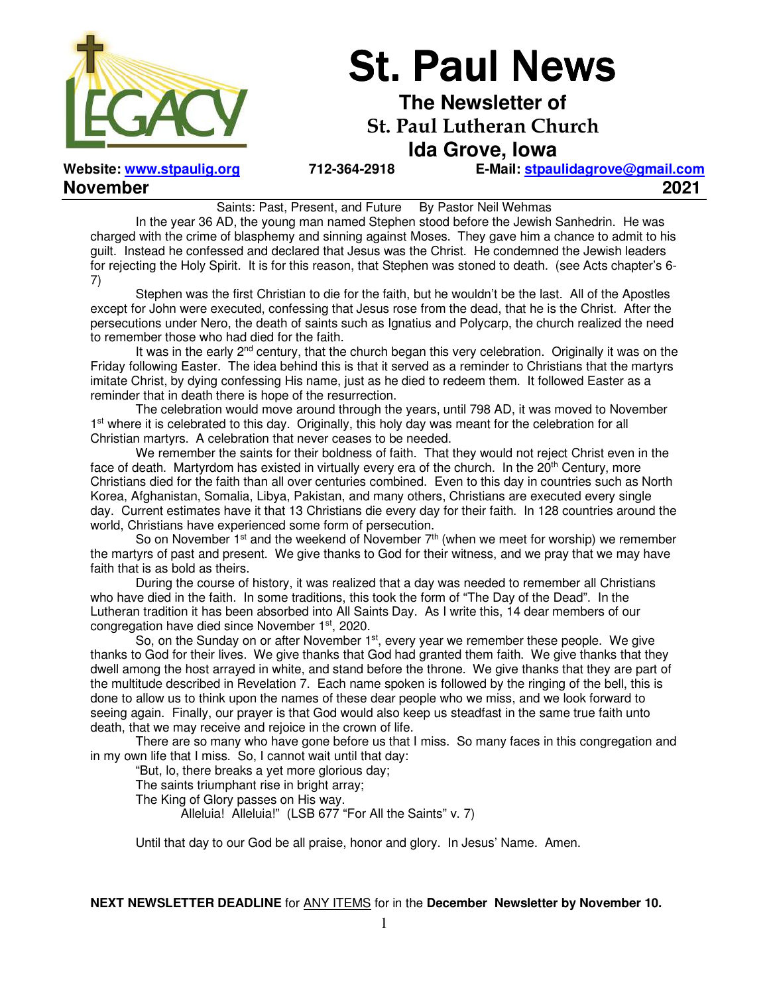

# **St. Paul News**

**The Newsletter of St. Paul Lutheran Church** 

**Ida Grove, Iowa** 

**November 2021** 

**Website: www.stpaulig.org 712-364-2918 E-Mail: stpaulidagrove@gmail.com**

Saints: Past, Present, and Future By Pastor Neil Wehmas

 In the year 36 AD, the young man named Stephen stood before the Jewish Sanhedrin. He was charged with the crime of blasphemy and sinning against Moses. They gave him a chance to admit to his guilt. Instead he confessed and declared that Jesus was the Christ. He condemned the Jewish leaders for rejecting the Holy Spirit. It is for this reason, that Stephen was stoned to death. (see Acts chapter's 6- 7)

 Stephen was the first Christian to die for the faith, but he wouldn't be the last. All of the Apostles except for John were executed, confessing that Jesus rose from the dead, that he is the Christ. After the persecutions under Nero, the death of saints such as Ignatius and Polycarp, the church realized the need to remember those who had died for the faith.

It was in the early 2<sup>nd</sup> century, that the church began this very celebration. Originally it was on the Friday following Easter. The idea behind this is that it served as a reminder to Christians that the martyrs imitate Christ, by dying confessing His name, just as he died to redeem them. It followed Easter as a reminder that in death there is hope of the resurrection.

 The celebration would move around through the years, until 798 AD, it was moved to November 1<sup>st</sup> where it is celebrated to this day. Originally, this holy day was meant for the celebration for all Christian martyrs. A celebration that never ceases to be needed.

 We remember the saints for their boldness of faith. That they would not reject Christ even in the face of death. Martyrdom has existed in virtually every era of the church. In the  $20<sup>th</sup>$  Century, more Christians died for the faith than all over centuries combined. Even to this day in countries such as North Korea, Afghanistan, Somalia, Libya, Pakistan, and many others, Christians are executed every single day. Current estimates have it that 13 Christians die every day for their faith. In 128 countries around the world, Christians have experienced some form of persecution.

So on November  $1<sup>st</sup>$  and the weekend of November  $7<sup>th</sup>$  (when we meet for worship) we remember the martyrs of past and present. We give thanks to God for their witness, and we pray that we may have faith that is as bold as theirs.

 During the course of history, it was realized that a day was needed to remember all Christians who have died in the faith. In some traditions, this took the form of "The Day of the Dead". In the Lutheran tradition it has been absorbed into All Saints Day. As I write this, 14 dear members of our congregation have died since November 1st, 2020.

So, on the Sunday on or after November 1<sup>st</sup>, every year we remember these people. We give thanks to God for their lives. We give thanks that God had granted them faith. We give thanks that they dwell among the host arrayed in white, and stand before the throne. We give thanks that they are part of the multitude described in Revelation 7. Each name spoken is followed by the ringing of the bell, this is done to allow us to think upon the names of these dear people who we miss, and we look forward to seeing again. Finally, our prayer is that God would also keep us steadfast in the same true faith unto death, that we may receive and rejoice in the crown of life.

 There are so many who have gone before us that I miss. So many faces in this congregation and in my own life that I miss. So, I cannot wait until that day:

"But, lo, there breaks a yet more glorious day;

The saints triumphant rise in bright array;

The King of Glory passes on His way.

Alleluia! Alleluia!" (LSB 677 "For All the Saints" v. 7)

Until that day to our God be all praise, honor and glory. In Jesus' Name. Amen.

**NEXT NEWSLETTER DEADLINE** for ANY ITEMS for in the **December Newsletter by November 10.**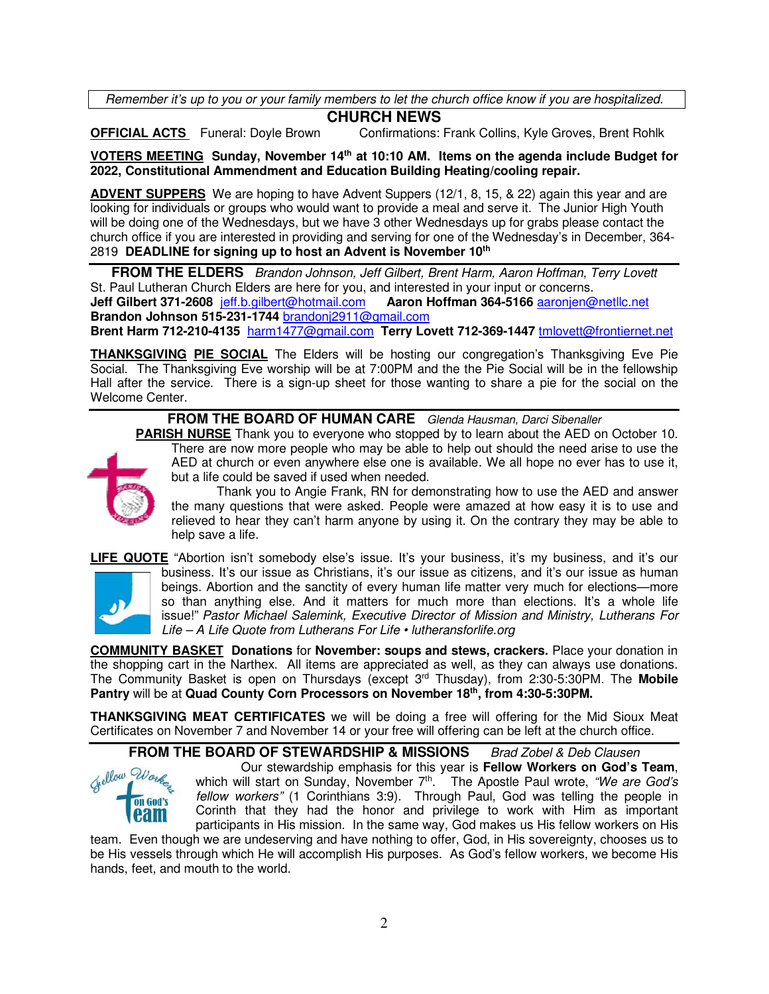Remember it's up to you or your family members to let the church office know if you are hospitalized.

### **CHURCH NEWS**

**OFFICIAL ACTS** Funeral: Doyle Brown Confirmations: Frank Collins, Kyle Groves, Brent Rohlk

**VOTERS MEETING Sunday, November 14th at 10:10 AM. Items on the agenda include Budget for 2022, Constitutional Ammendment and Education Building Heating/cooling repair.** 

**ADVENT SUPPERS** We are hoping to have Advent Suppers (12/1, 8, 15, & 22) again this year and are looking for individuals or groups who would want to provide a meal and serve it. The Junior High Youth will be doing one of the Wednesdays, but we have 3 other Wednesdays up for grabs please contact the church office if you are interested in providing and serving for one of the Wednesday's in December, 364- 2819 **DEADLINE for signing up to host an Advent is November 10th**

**FROM THE ELDERS** Brandon Johnson, Jeff Gilbert, Brent Harm, Aaron Hoffman, Terry Lovett St. Paul Lutheran Church Elders are here for you, and interested in your input or concerns. **Jeff Gilbert 371-2608** jeff.b.gilbert@hotmail.com **Aaron Hoffman 364-5166** aaronjen@netllc.net **Brandon Johnson 515-231-1744** brandonj2911@gmail.com **Brent Harm 712-210-4135** harm1477@gmail.com **Terry Lovett 712-369-1447** tmlovett@frontiernet.net

**THANKSGIVING PIE SOCIAL** The Elders will be hosting our congregation's Thanksgiving Eve Pie Social. The Thanksgiving Eve worship will be at 7:00PM and the the Pie Social will be in the fellowship Hall after the service. There is a sign-up sheet for those wanting to share a pie for the social on the Welcome Center.

### **FROM THE BOARD OF HUMAN CARE** Glenda Hausman, Darci Sibenaller

**PARISH NURSE** Thank you to everyone who stopped by to learn about the AED on October 10.



There are now more people who may be able to help out should the need arise to use the AED at church or even anywhere else one is available. We all hope no ever has to use it, but a life could be saved if used when needed.

Thank you to Angie Frank, RN for demonstrating how to use the AED and answer the many questions that were asked. People were amazed at how easy it is to use and relieved to hear they can't harm anyone by using it. On the contrary they may be able to help save a life.

**LIFE QUOTE** "Abortion isn't somebody else's issue. It's your business, it's my business, and it's our



business. It's our issue as Christians, it's our issue as citizens, and it's our issue as human beings. Abortion and the sanctity of every human life matter very much for elections—more so than anything else. And it matters for much more than elections. It's a whole life issue!" Pastor Michael Salemink, Executive Director of Mission and Ministry, Lutherans For Life – A Life Quote from Lutherans For Life • lutheransforlife.org

**COMMUNITY BASKET Donations** for **November: soups and stews, crackers.** Place your donation in the shopping cart in the Narthex. All items are appreciated as well, as they can always use donations. The Community Basket is open on Thursdays (except 3rd Thusday), from 2:30-5:30PM. The **Mobile Pantry** will be at **Quad County Corn Processors on November 18th , from 4:30-5:30PM.** 

**THANKSGIVING MEAT CERTIFICATES** we will be doing a free will offering for the Mid Sioux Meat Certificates on November 7 and November 14 or your free will offering can be left at the church office.

### **FROM THE BOARD OF STEWARDSHIP & MISSIONS** Brad Zobel & Deb Clausen



Our stewardship emphasis for this year is **Fellow Workers on God's Team**, which will start on Sunday, November 7<sup>th</sup>. The Apostle Paul wrote, "We are God's fellow workers" (1 Corinthians 3:9). Through Paul, God was telling the people in Corinth that they had the honor and privilege to work with Him as important participants in His mission. In the same way, God makes us His fellow workers on His

team. Even though we are undeserving and have nothing to offer, God, in His sovereignty, chooses us to be His vessels through which He will accomplish His purposes. As God's fellow workers, we become His hands, feet, and mouth to the world.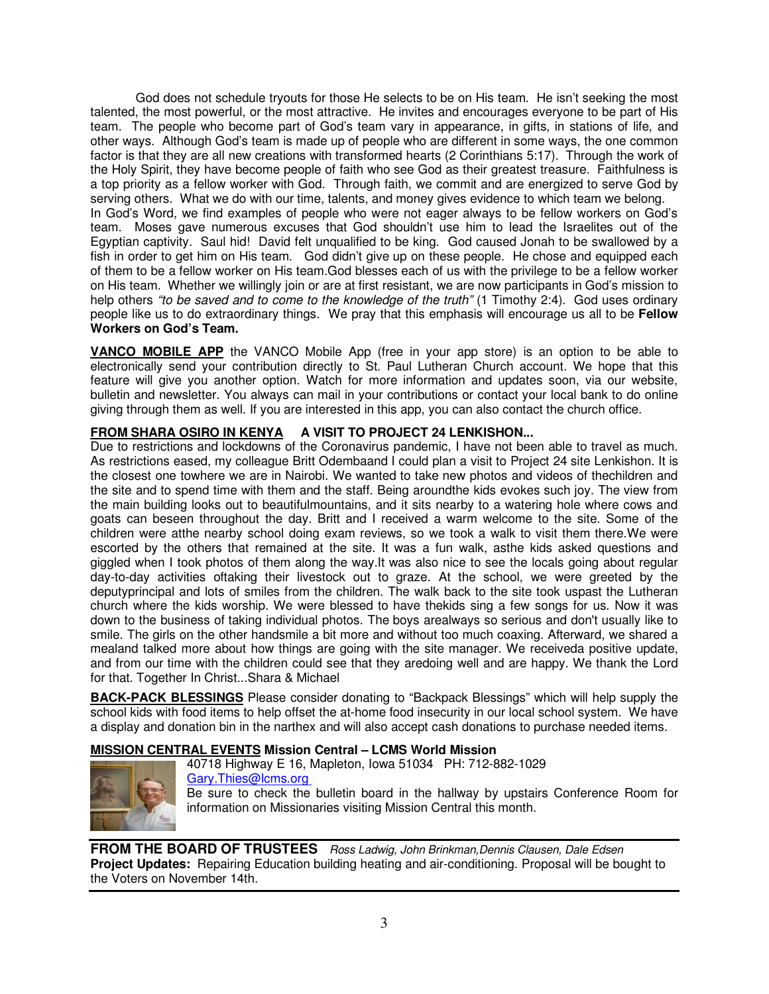God does not schedule tryouts for those He selects to be on His team. He isn't seeking the most talented, the most powerful, or the most attractive. He invites and encourages everyone to be part of His team. The people who become part of God's team vary in appearance, in gifts, in stations of life, and other ways. Although God's team is made up of people who are different in some ways, the one common factor is that they are all new creations with transformed hearts (2 Corinthians 5:17). Through the work of the Holy Spirit, they have become people of faith who see God as their greatest treasure. Faithfulness is a top priority as a fellow worker with God. Through faith, we commit and are energized to serve God by serving others. What we do with our time, talents, and money gives evidence to which team we belong. In God's Word, we find examples of people who were not eager always to be fellow workers on God's team. Moses gave numerous excuses that God shouldn't use him to lead the Israelites out of the Egyptian captivity. Saul hid! David felt unqualified to be king. God caused Jonah to be swallowed by a fish in order to get him on His team. God didn't give up on these people. He chose and equipped each of them to be a fellow worker on His team.God blesses each of us with the privilege to be a fellow worker on His team. Whether we willingly join or are at first resistant, we are now participants in God's mission to help others "to be saved and to come to the knowledge of the truth" (1 Timothy 2:4). God uses ordinary people like us to do extraordinary things. We pray that this emphasis will encourage us all to be **Fellow Workers on God's Team.**

**VANCO MOBILE APP** the VANCO Mobile App (free in your app store) is an option to be able to electronically send your contribution directly to St. Paul Lutheran Church account. We hope that this feature will give you another option. Watch for more information and updates soon, via our website, bulletin and newsletter. You always can mail in your contributions or contact your local bank to do online giving through them as well. If you are interested in this app, you can also contact the church office.

### **FROM SHARA OSIRO IN KENYA A VISIT TO PROJECT 24 LENKISHON...**

Due to restrictions and lockdowns of the Coronavirus pandemic, I have not been able to travel as much. As restrictions eased, my colleague Britt Odembaand I could plan a visit to Project 24 site Lenkishon. It is the closest one towhere we are in Nairobi. We wanted to take new photos and videos of thechildren and the site and to spend time with them and the staff. Being aroundthe kids evokes such joy. The view from the main building looks out to beautifulmountains, and it sits nearby to a watering hole where cows and goats can beseen throughout the day. Britt and I received a warm welcome to the site. Some of the children were atthe nearby school doing exam reviews, so we took a walk to visit them there.We were escorted by the others that remained at the site. It was a fun walk, asthe kids asked questions and giggled when I took photos of them along the way.It was also nice to see the locals going about regular day-to-day activities oftaking their livestock out to graze. At the school, we were greeted by the deputyprincipal and lots of smiles from the children. The walk back to the site took uspast the Lutheran church where the kids worship. We were blessed to have thekids sing a few songs for us. Now it was down to the business of taking individual photos. The boys arealways so serious and don't usually like to smile. The girls on the other handsmile a bit more and without too much coaxing. Afterward, we shared a mealand talked more about how things are going with the site manager. We receiveda positive update, and from our time with the children could see that they aredoing well and are happy. We thank the Lord for that. Together In Christ...Shara & Michael

**BACK-PACK BLESSINGS** Please consider donating to "Backpack Blessings" which will help supply the school kids with food items to help offset the at-home food insecurity in our local school system. We have a display and donation bin in the narthex and will also accept cash donations to purchase needed items.

### **MISSION CENTRAL EVENTS Mission Central – LCMS World Mission**



40718 Highway E 16, Mapleton, Iowa 51034 PH: 712-882-1029 Gary.Thies@lcms.org Be sure to check the bulletin board in the hallway by upstairs Conference Room for information on Missionaries visiting Mission Central this month.

**FROM THE BOARD OF TRUSTEES** Ross Ladwig, John Brinkman, Dennis Clausen, Dale Edsen **Project Updates:** Repairing Education building heating and air-conditioning. Proposal will be bought to the Voters on November 14th.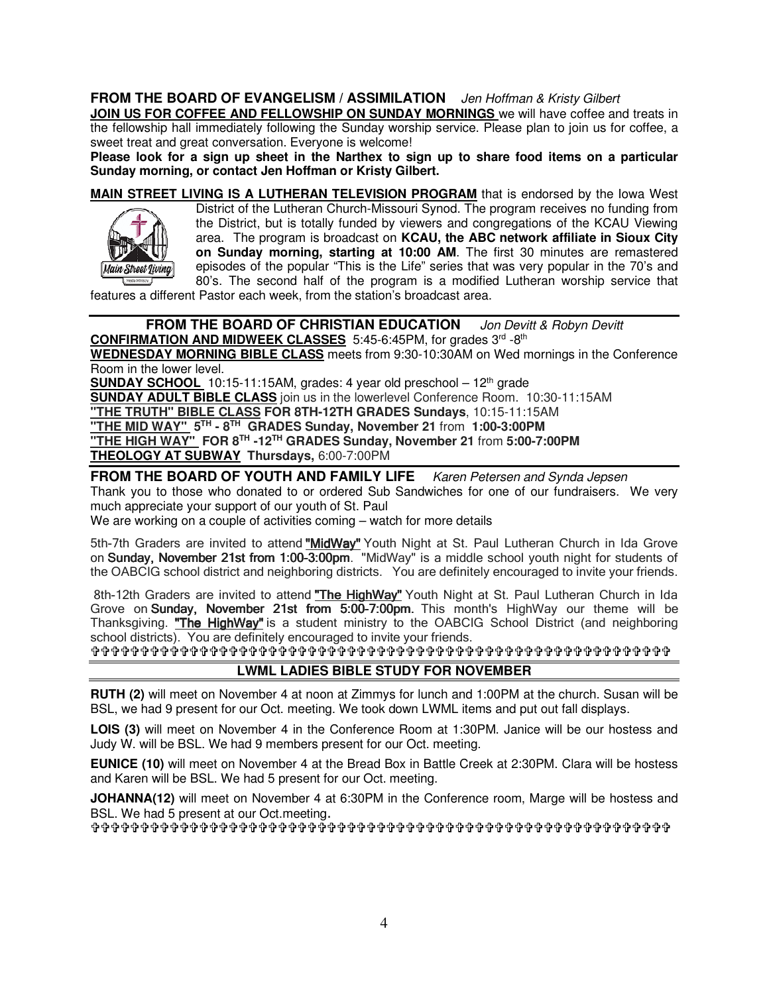### **FROM THE BOARD OF EVANGELISM / ASSIMILATION** Jen Hoffman & Kristy Gilbert

**JOIN US FOR COFFEE AND FELLOWSHIP ON SUNDAY MORNINGS** we will have coffee and treats in the fellowship hall immediately following the Sunday worship service. Please plan to join us for coffee, a sweet treat and great conversation. Everyone is welcome!

**Please look for a sign up sheet in the Narthex to sign up to share food items on a particular Sunday morning, or contact Jen Hoffman or Kristy Gilbert.**

**MAIN STREET LIVING IS A LUTHERAN TELEVISION PROGRAM** that is endorsed by the Iowa West District of the Lutheran Church-Missouri Synod. The program receives no funding from the District, but is totally funded by viewers and congregations of the KCAU Viewing area. The program is broadcast on **KCAU, the ABC network affiliate in Sioux City on Sunday morning, starting at 10:00 AM**. The first 30 minutes are remastered episodes of the popular "This is the Life" series that was very popular in the 70's and Main Street Iivina 80's. The second half of the program is a modified Lutheran worship service that

features a different Pastor each week, from the station's broadcast area.

### **FROM THE BOARD OF CHRISTIAN EDUCATION** Jon Devitt & Robyn Devitt **CONFIRMATION AND MIDWEEK CLASSES** 5:45-6:45PM, for grades 3rd -8th

**WEDNESDAY MORNING BIBLE CLASS** meets from 9:30-10:30AM on Wed mornings in the Conference Room in the lower level.

**SUNDAY SCHOOL**  $10:15-11:15AM$ , grades: 4 year old preschool  $-12<sup>th</sup>$  grade

**SUNDAY ADULT BIBLE CLASS** join us in the lowerlevel Conference Room. 10:30-11:15AM

**"THE TRUTH" BIBLE CLASS FOR 8TH-12TH GRADES Sundays**, 10:15-11:15AM **"THE MID WAY" 5TH - 8TH GRADES Sunday, November 21** from **1:00-3:00PM**

**"THE HIGH WAY" FOR 8TH -12TH GRADES Sunday, November 21** from **5:00-7:00PM** 

**THEOLOGY AT SUBWAY Thursdays,** 6:00-7:00PM

FROM THE BOARD OF YOUTH AND FAMILY LIFE **Karen Petersen and Synda Jepsen** 

Thank you to those who donated to or ordered Sub Sandwiches for one of our fundraisers. We very much appreciate your support of our youth of St. Paul

We are working on a couple of activities coming – watch for more details

5th-7th Graders are invited to attend <mark>"MidWay"</mark> Youth Night at St. Paul Lutheran Church in Ida Grove on Sunday, November 21st from 1:00-3:00pm. "MidWay" is a middle school youth night for students of the OABCIG school district and neighboring districts. You are definitely encouraged to invite your friends.

8th-12th Graders are invited to attend "The HighWay" Youth Night at St. Paul Lutheran Church in Ida Grove on Sunday, November 21st from 5:00-7:00pm. This month's HighWay our theme will be Thanksgiving. "The HighWay" is a student ministry to the OABCIG School District (and neighboring school districts). You are definitely encouraged to invite your friends.

### **LWML LADIES BIBLE STUDY FOR NOVEMBER**

**RUTH (2)** will meet on November 4 at noon at Zimmys for lunch and 1:00PM at the church. Susan will be BSL, we had 9 present for our Oct. meeting. We took down LWML items and put out fall displays.

**LOIS (3)** will meet on November 4 in the Conference Room at 1:30PM. Janice will be our hostess and Judy W. will be BSL. We had 9 members present for our Oct. meeting.

**EUNICE (10)** will meet on November 4 at the Bread Box in Battle Creek at 2:30PM. Clara will be hostess and Karen will be BSL. We had 5 present for our Oct. meeting.

**JOHANNA(12)** will meet on November 4 at 6:30PM in the Conference room, Marge will be hostess and BSL. We had 5 present at our Oct.meeting.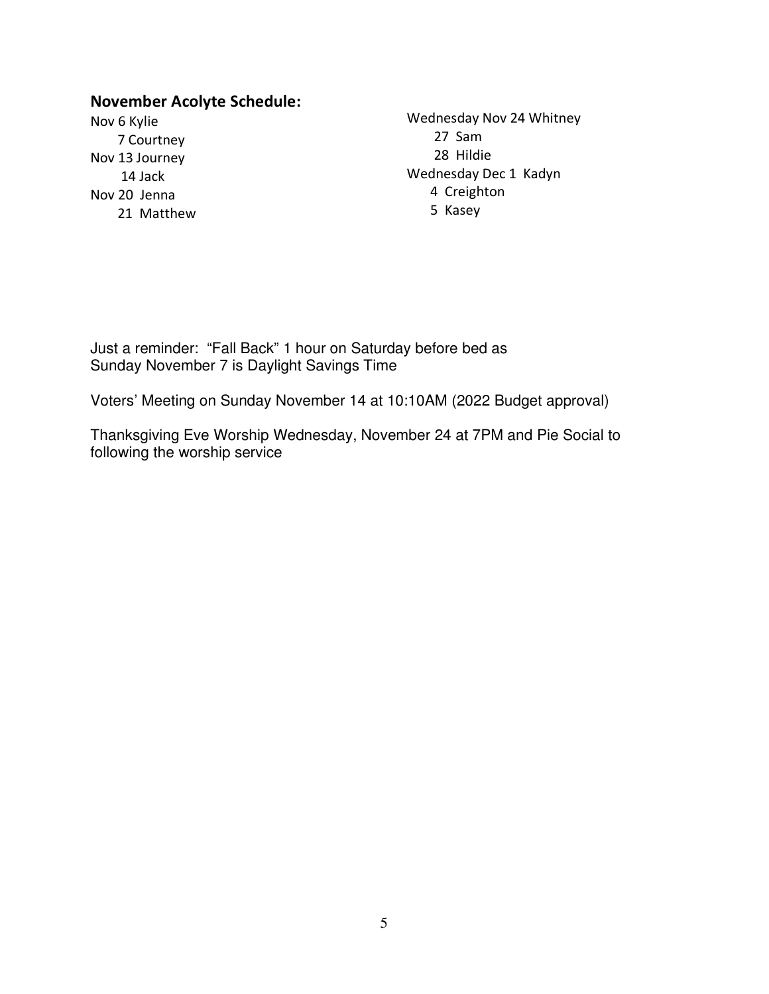### **November Acolyte Schedule:**

Nov 6 Kylie 7 Courtney Nov 13 Journey 14 Jack Nov 20 Jenna 21 Matthew Wednesday Nov 24 Whitney 27 Sam 28 Hildie Wednesday Dec 1 Kadyn 4 Creighton 5 Kasey

Just a reminder: "Fall Back" 1 hour on Saturday before bed as Sunday November 7 is Daylight Savings Time

Voters' Meeting on Sunday November 14 at 10:10AM (2022 Budget approval)

Thanksgiving Eve Worship Wednesday, November 24 at 7PM and Pie Social to following the worship service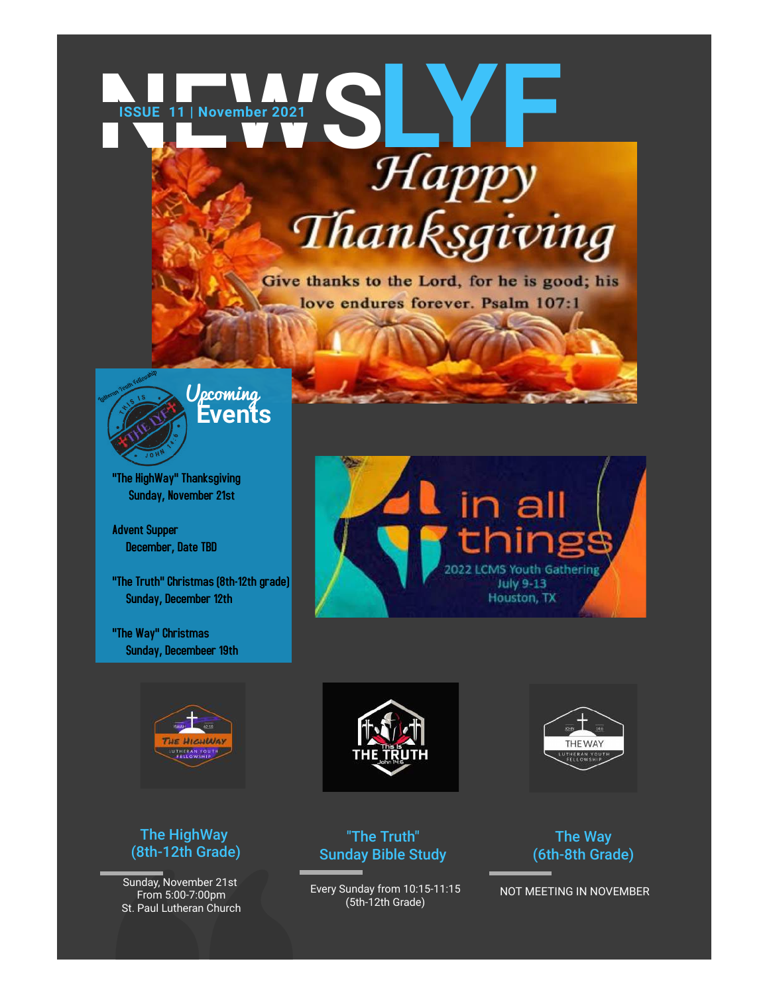

Give thanks to the Lord, for he is good; his love endures forever. Psalm 107:1



**Events** Upcoming

"The HighWay" Thanksgiving Sunday, November 21st

Advent Supper December, Date TBD

"The Truth" Christmas (8th-12th grade) Sunday, December 12th

"The Way" Christmas Sunday, Decembeer 19th



in all

2022 LCMS Youth Gathering



# The Truth" Christmas (8th-12th grade)<br>
Sunday, December 12th<br>
The Way" Christmas<br>
Sunday, December 19th<br>
The HighWay<br>
(8th-12th Grade)<br>
Sunday, November 21st<br>
From 5:00-7:00pm<br>
St. Paul Lutheran Church

### The HighWay (8th-12th Grade)

Sunday, November 21st From 5:00-7:00pm St. Paul Lutheran Church



Every Sunday from 10:15-11:15 (5th-12th Grade)

The Way (6th-8th Grade)

NOT MEETING IN NOVEMBER